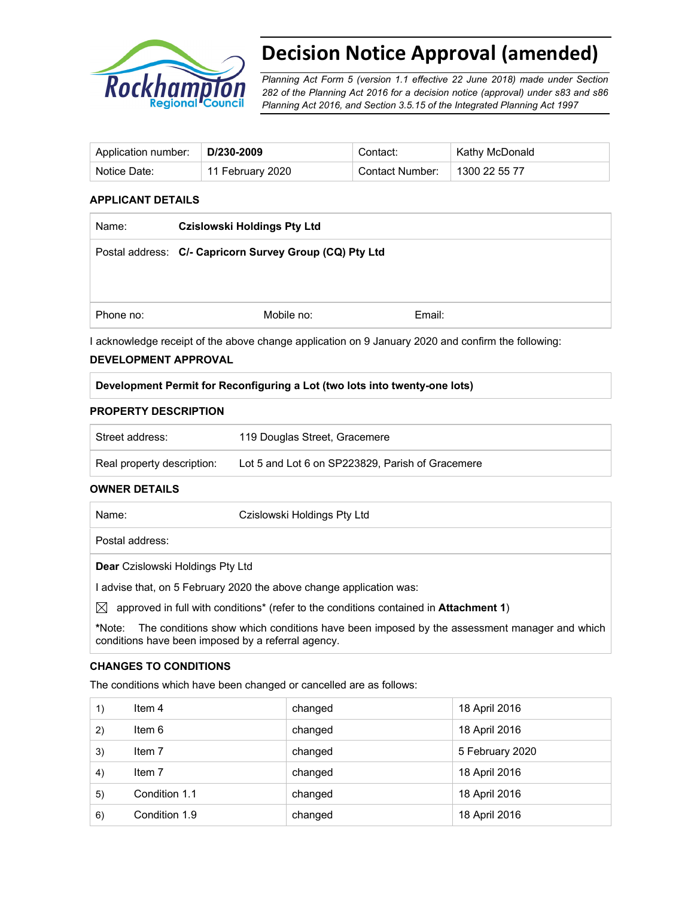

# **Decision Notice Approval (amended)**

*Planning Act Form 5 (version 1.1 effective 22 June 2018) made under Section 282 of the Planning Act 2016 for a decision notice (approval) under s83 and s86 Planning Act 2016, and Section 3.5.15 of the Integrated Planning Act 1997*

| Application number: | D/230-2009       | Contact:        | Kathy McDonald |
|---------------------|------------------|-----------------|----------------|
| Notice Date:        | 11 February 2020 | Contact Number: | 1300 22 55 77  |

## **APPLICANT DETAILS**

| Name:     | <b>Czislowski Holdings Pty Ltd</b>                      |        |  |
|-----------|---------------------------------------------------------|--------|--|
|           | Postal address: C/- Capricorn Survey Group (CQ) Pty Ltd |        |  |
|           |                                                         |        |  |
|           |                                                         |        |  |
| Phone no: | Mobile no:                                              | Email: |  |

I acknowledge receipt of the above change application on 9 January 2020 and confirm the following:

### **DEVELOPMENT APPROVAL**

### **Development Permit for Reconfiguring a Lot (two lots into twenty-one lots)**

### **PROPERTY DESCRIPTION**

| Street address:            | 119 Douglas Street, Gracemere                    |
|----------------------------|--------------------------------------------------|
| Real property description: | Lot 5 and Lot 6 on SP223829, Parish of Gracemere |

### **OWNER DETAILS**

|             | Name:                                                               | Czislowski Holdings Pty Ltd                                                           |  |  |  |
|-------------|---------------------------------------------------------------------|---------------------------------------------------------------------------------------|--|--|--|
|             |                                                                     |                                                                                       |  |  |  |
|             | Postal address:                                                     |                                                                                       |  |  |  |
|             | <b>Dear</b> Czislowski Holdings Pty Ltd                             |                                                                                       |  |  |  |
|             | I advise that, on 5 February 2020 the above change application was: |                                                                                       |  |  |  |
| $\boxtimes$ |                                                                     | approved in full with conditions* (refer to the conditions contained in Attachment 1) |  |  |  |

**\***Note:The conditions show which conditions have been imposed by the assessment manager and which conditions have been imposed by a referral agency.

### **CHANGES TO CONDITIONS**

The conditions which have been changed or cancelled are as follows:

| 1) | Item 4        | changed | 18 April 2016   |
|----|---------------|---------|-----------------|
| 2) | Item 6        | changed | 18 April 2016   |
| 3) | Item 7        | changed | 5 February 2020 |
| 4) | Item 7        | changed | 18 April 2016   |
| 5) | Condition 1.1 | changed | 18 April 2016   |
| 6) | Condition 1.9 | changed | 18 April 2016   |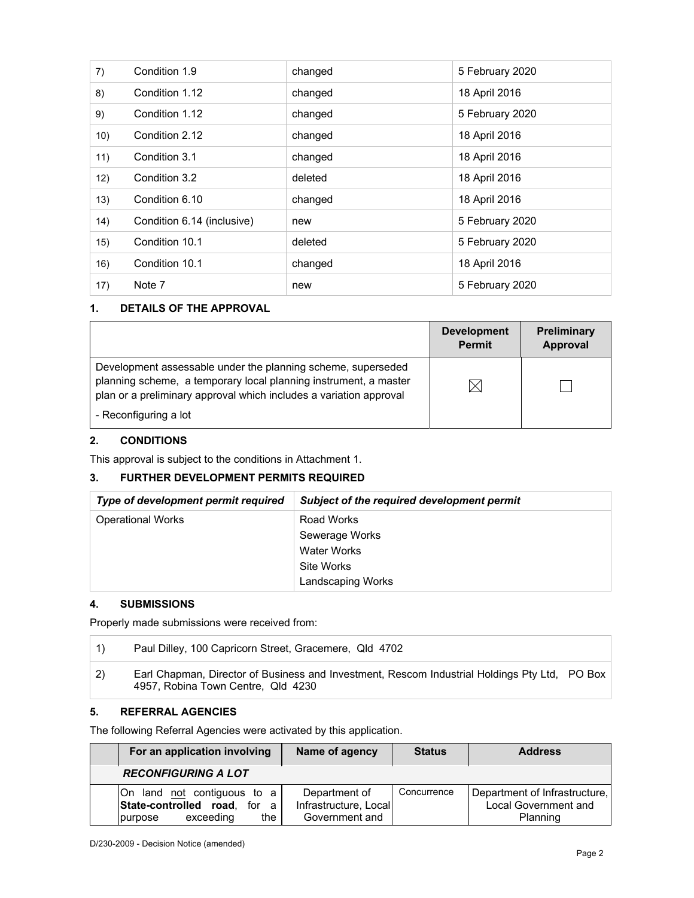| 7)   | Condition 1.9              | changed | 5 February 2020 |
|------|----------------------------|---------|-----------------|
| 8)   | Condition 1.12             | changed | 18 April 2016   |
| 9)   | Condition 1.12             | changed | 5 February 2020 |
| 10)  | Condition 2.12             | changed | 18 April 2016   |
| 11)  | Condition 3.1              | changed | 18 April 2016   |
| 12)  | Condition 3.2              | deleted | 18 April 2016   |
| (13) | Condition 6.10             | changed | 18 April 2016   |
| 14)  | Condition 6.14 (inclusive) | new     | 5 February 2020 |
| 15)  | Condition 10.1             | deleted | 5 February 2020 |
| 16)  | Condition 10.1             | changed | 18 April 2016   |
| 17)  | Note 7                     | new     | 5 February 2020 |

# **1. DETAILS OF THE APPROVAL**

|                                                                                                                                                                                                                                 | <b>Development</b><br><b>Permit</b> | <b>Preliminary</b><br>Approval |
|---------------------------------------------------------------------------------------------------------------------------------------------------------------------------------------------------------------------------------|-------------------------------------|--------------------------------|
| Development assessable under the planning scheme, superseded<br>planning scheme, a temporary local planning instrument, a master<br>plan or a preliminary approval which includes a variation approval<br>- Reconfiguring a lot |                                     |                                |

# **2. CONDITIONS**

This approval is subject to the conditions in Attachment 1.

# **3. FURTHER DEVELOPMENT PERMITS REQUIRED**

| Type of development permit required | Subject of the required development permit |
|-------------------------------------|--------------------------------------------|
| <b>Operational Works</b>            | Road Works                                 |
|                                     | Sewerage Works                             |
|                                     | <b>Water Works</b>                         |
|                                     | Site Works                                 |
|                                     | Landscaping Works                          |

# **4. SUBMISSIONS**

 $\mathbb{F}$ 

Properly made submissions were received from:

|              | Paul Dilley, 100 Capricorn Street, Gracemere, Qld 4702                                                                              |  |
|--------------|-------------------------------------------------------------------------------------------------------------------------------------|--|
| $\mathbf{2}$ | Earl Chapman, Director of Business and Investment, Rescom Industrial Holdings Pty Ltd, PO Box<br>4957, Robina Town Centre, Qld 4230 |  |

# **5. REFERRAL AGENCIES**

The following Referral Agencies were activated by this application.

| For an application involving                                                               | Name of agency                                           | <b>Status</b> | <b>Address</b>                                                    |
|--------------------------------------------------------------------------------------------|----------------------------------------------------------|---------------|-------------------------------------------------------------------|
| <b>RECONFIGURING A LOT</b>                                                                 |                                                          |               |                                                                   |
| On land not contiguous to a<br>State-controlled road, for a<br>exceeding<br>the<br>purpose | Department of<br>Infrastructure, Local<br>Government and | Concurrence   | Department of Infrastructure,<br>Local Government and<br>Planning |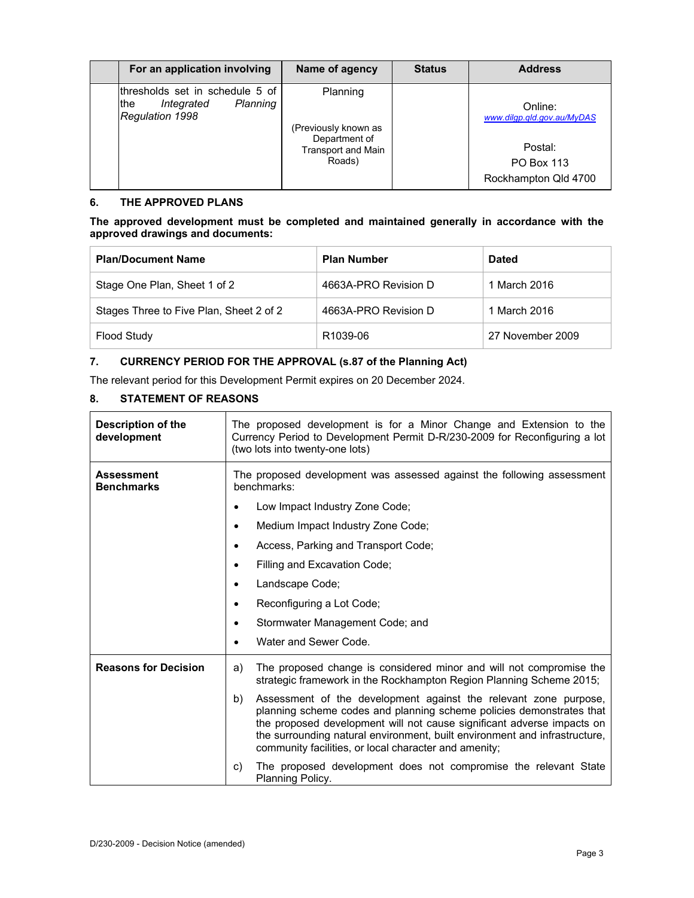| For an application involving                                                         | Name of agency                                                                           | <b>Status</b> | <b>Address</b>                                                                         |
|--------------------------------------------------------------------------------------|------------------------------------------------------------------------------------------|---------------|----------------------------------------------------------------------------------------|
| lthresholds set in schedule 5 of<br>Planning<br>the<br>Integrated<br>Regulation 1998 | Planning<br>(Previously known as<br>Department of<br><b>Transport and Main</b><br>Roads) |               | Online:<br>www.dilgp.qld.gov.au/MyDAS<br>Postal:<br>PO Box 113<br>Rockhampton Qld 4700 |

# **6. THE APPROVED PLANS**

### **The approved development must be completed and maintained generally in accordance with the approved drawings and documents:**

| <b>Plan/Document Name</b>               | <b>Plan Number</b>   | <b>Dated</b>     |
|-----------------------------------------|----------------------|------------------|
| Stage One Plan, Sheet 1 of 2            | 4663A-PRO Revision D | 1 March 2016     |
| Stages Three to Five Plan, Sheet 2 of 2 | 4663A-PRO Revision D | 1 March 2016     |
| <b>Flood Study</b>                      | R <sub>1039-06</sub> | 27 November 2009 |

# **7. CURRENCY PERIOD FOR THE APPROVAL (s.87 of the Planning Act)**

The relevant period for this Development Permit expires on 20 December 2024.

# **8. STATEMENT OF REASONS**

| Description of the<br>development      | The proposed development is for a Minor Change and Extension to the<br>Currency Period to Development Permit D-R/230-2009 for Reconfiguring a lot<br>(two lots into twenty-one lots)                                                                                                                                                                            |  |  |
|----------------------------------------|-----------------------------------------------------------------------------------------------------------------------------------------------------------------------------------------------------------------------------------------------------------------------------------------------------------------------------------------------------------------|--|--|
| <b>Assessment</b><br><b>Benchmarks</b> | The proposed development was assessed against the following assessment<br>benchmarks:                                                                                                                                                                                                                                                                           |  |  |
|                                        | Low Impact Industry Zone Code;                                                                                                                                                                                                                                                                                                                                  |  |  |
|                                        | Medium Impact Industry Zone Code;<br>$\bullet$                                                                                                                                                                                                                                                                                                                  |  |  |
|                                        | Access, Parking and Transport Code;<br>$\bullet$                                                                                                                                                                                                                                                                                                                |  |  |
|                                        | Filling and Excavation Code;<br>$\bullet$                                                                                                                                                                                                                                                                                                                       |  |  |
|                                        | Landscape Code;<br>$\bullet$                                                                                                                                                                                                                                                                                                                                    |  |  |
|                                        | Reconfiguring a Lot Code;<br>$\bullet$                                                                                                                                                                                                                                                                                                                          |  |  |
|                                        | Stormwater Management Code; and                                                                                                                                                                                                                                                                                                                                 |  |  |
|                                        | Water and Sewer Code.                                                                                                                                                                                                                                                                                                                                           |  |  |
| <b>Reasons for Decision</b>            | The proposed change is considered minor and will not compromise the<br>a)<br>strategic framework in the Rockhampton Region Planning Scheme 2015;                                                                                                                                                                                                                |  |  |
|                                        | Assessment of the development against the relevant zone purpose,<br>b)<br>planning scheme codes and planning scheme policies demonstrates that<br>the proposed development will not cause significant adverse impacts on<br>the surrounding natural environment, built environment and infrastructure,<br>community facilities, or local character and amenity; |  |  |
|                                        | The proposed development does not compromise the relevant State<br>C)<br>Planning Policy.                                                                                                                                                                                                                                                                       |  |  |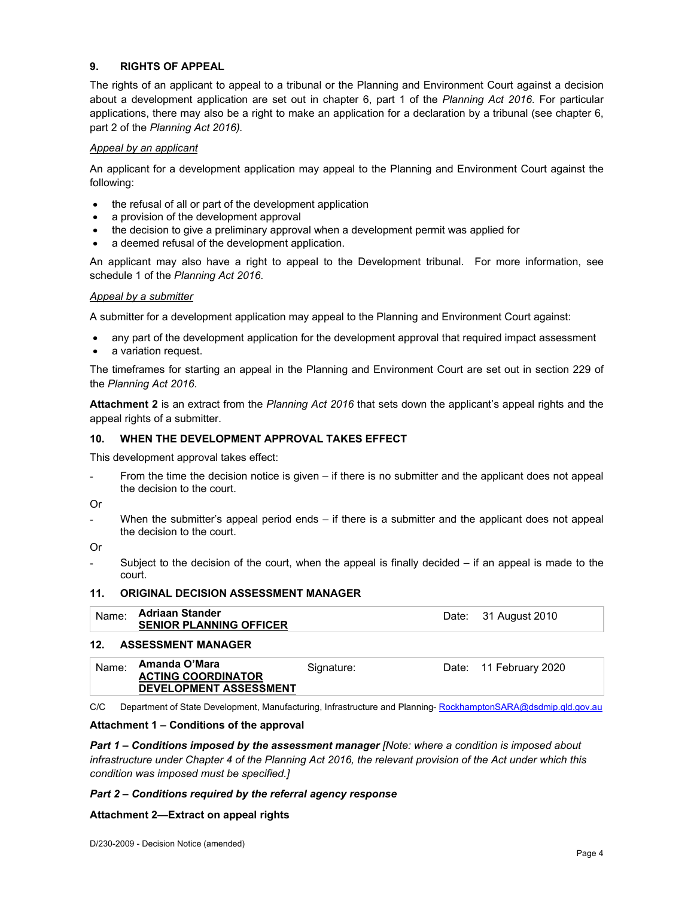# **9. RIGHTS OF APPEAL**

The rights of an applicant to appeal to a tribunal or the Planning and Environment Court against a decision about a development application are set out in chapter 6, part 1 of the *Planning Act 2016*. For particular applications, there may also be a right to make an application for a declaration by a tribunal (see chapter 6, part 2 of the *Planning Act 2016).*

### *Appeal by an applicant*

An applicant for a development application may appeal to the Planning and Environment Court against the following:

- the refusal of all or part of the development application
- a provision of the development approval
- the decision to give a preliminary approval when a development permit was applied for
- a deemed refusal of the development application.

An applicant may also have a right to appeal to the Development tribunal. For more information, see schedule 1 of the *Planning Act 2016*.

### *Appeal by a submitter*

A submitter for a development application may appeal to the Planning and Environment Court against:

- any part of the development application for the development approval that required impact assessment
- a variation request.

The timeframes for starting an appeal in the Planning and Environment Court are set out in section 229 of the *Planning Act 2016*.

**Attachment 2** is an extract from the *Planning Act 2016* that sets down the applicant's appeal rights and the appeal rights of a submitter.

### **10. WHEN THE DEVELOPMENT APPROVAL TAKES EFFECT**

This development approval takes effect:

- From the time the decision notice is given  $-$  if there is no submitter and the applicant does not appeal the decision to the court.
- Or
- When the submitter's appeal period ends  $-$  if there is a submitter and the applicant does not appeal the decision to the court.

Or

Subject to the decision of the court, when the appeal is finally decided  $-$  if an appeal is made to the court.

### **11. ORIGINAL DECISION ASSESSMENT MANAGER**

| Name: | <b>Adriaan Stander</b>         | Date: 31 August 2010 |
|-------|--------------------------------|----------------------|
|       | <b>SENIOR PLANNING OFFICER</b> |                      |

### **12. ASSESSMENT MANAGER**

| Name: | Amanda O'Mara                 | Signature: | Date: 11 February 2020 |
|-------|-------------------------------|------------|------------------------|
|       | <b>ACTING COORDINATOR</b>     |            |                        |
|       | <b>DEVELOPMENT ASSESSMENT</b> |            |                        |

C/C Department of State Development, Manufacturing, Infrastructure and Planning- RockhamptonSARA@dsdmip.qld.gov.au

### **Attachment 1 – Conditions of the approval**

*Part 1* **–** *Conditions imposed by the assessment manager [Note: where a condition is imposed about infrastructure under Chapter 4 of the Planning Act 2016, the relevant provision of the Act under which this condition was imposed must be specified.]*

### *Part 2 – Conditions required by the referral agency response*

### **Attachment 2—Extract on appeal rights**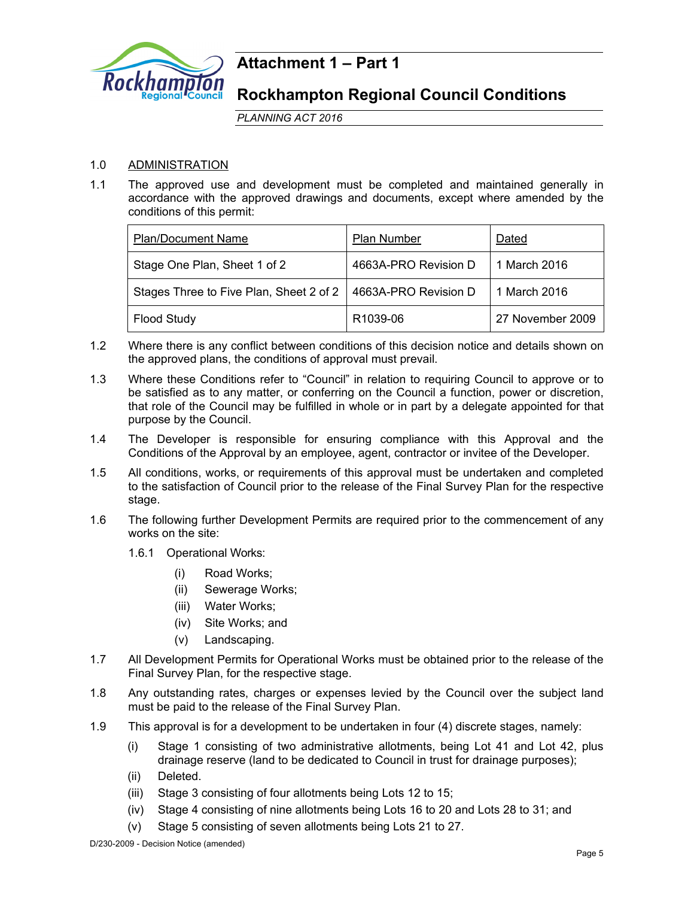

# **Attachment 1 – Part 1**

# **Rockhampton Regional Council Conditions**

*PLANNING ACT 2016*

# 1.0 ADMINISTRATION

1.1 The approved use and development must be completed and maintained generally in accordance with the approved drawings and documents, except where amended by the conditions of this permit:

| <b>Plan/Document Name</b>               | <b>Plan Number</b>   | Dated            |
|-----------------------------------------|----------------------|------------------|
| Stage One Plan, Sheet 1 of 2            | 4663A-PRO Revision D | 1 March 2016     |
| Stages Three to Five Plan, Sheet 2 of 2 | 4663A-PRO Revision D | 1 March 2016     |
| <b>Flood Study</b>                      | R1039-06             | 27 November 2009 |

- 1.2 Where there is any conflict between conditions of this decision notice and details shown on the approved plans, the conditions of approval must prevail.
- 1.3 Where these Conditions refer to "Council" in relation to requiring Council to approve or to be satisfied as to any matter, or conferring on the Council a function, power or discretion, that role of the Council may be fulfilled in whole or in part by a delegate appointed for that purpose by the Council.
- 1.4 The Developer is responsible for ensuring compliance with this Approval and the Conditions of the Approval by an employee, agent, contractor or invitee of the Developer.
- 1.5 All conditions, works, or requirements of this approval must be undertaken and completed to the satisfaction of Council prior to the release of the Final Survey Plan for the respective stage.
- 1.6 The following further Development Permits are required prior to the commencement of any works on the site:
	- 1.6.1 Operational Works:
		- (i) Road Works;
		- (ii) Sewerage Works;
		- (iii) Water Works;
		- (iv) Site Works; and
		- (v) Landscaping.
- 1.7 All Development Permits for Operational Works must be obtained prior to the release of the Final Survey Plan, for the respective stage.
- 1.8 Any outstanding rates, charges or expenses levied by the Council over the subject land must be paid to the release of the Final Survey Plan.
- 1.9 This approval is for a development to be undertaken in four (4) discrete stages, namely:
	- (i) Stage 1 consisting of two administrative allotments, being Lot 41 and Lot 42, plus drainage reserve (land to be dedicated to Council in trust for drainage purposes);
	- (ii) Deleted.
	- (iii) Stage 3 consisting of four allotments being Lots 12 to 15;
	- (iv) Stage 4 consisting of nine allotments being Lots 16 to 20 and Lots 28 to 31; and
	- (v) Stage 5 consisting of seven allotments being Lots 21 to 27.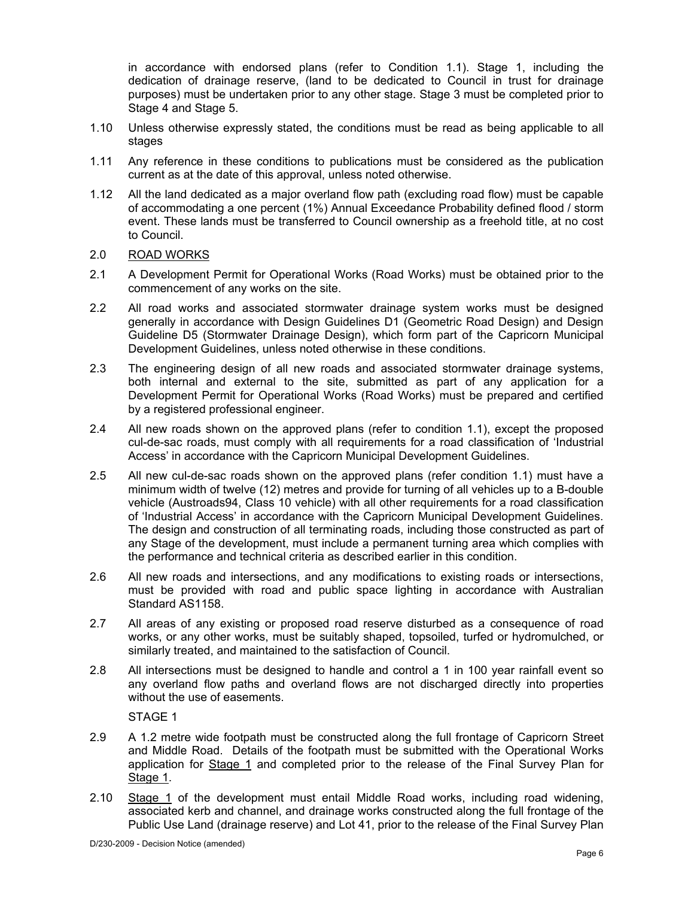in accordance with endorsed plans (refer to Condition 1.1). Stage 1, including the dedication of drainage reserve, (land to be dedicated to Council in trust for drainage purposes) must be undertaken prior to any other stage. Stage 3 must be completed prior to Stage 4 and Stage 5.

- 1.10 Unless otherwise expressly stated, the conditions must be read as being applicable to all stages
- 1.11 Any reference in these conditions to publications must be considered as the publication current as at the date of this approval, unless noted otherwise.
- 1.12 All the land dedicated as a major overland flow path (excluding road flow) must be capable of accommodating a one percent (1%) Annual Exceedance Probability defined flood / storm event. These lands must be transferred to Council ownership as a freehold title, at no cost to Council.
- 2.0 ROAD WORKS
- 2.1 A Development Permit for Operational Works (Road Works) must be obtained prior to the commencement of any works on the site.
- 2.2 All road works and associated stormwater drainage system works must be designed generally in accordance with Design Guidelines D1 (Geometric Road Design) and Design Guideline D5 (Stormwater Drainage Design), which form part of the Capricorn Municipal Development Guidelines, unless noted otherwise in these conditions.
- 2.3 The engineering design of all new roads and associated stormwater drainage systems, both internal and external to the site, submitted as part of any application for a Development Permit for Operational Works (Road Works) must be prepared and certified by a registered professional engineer.
- 2.4 All new roads shown on the approved plans (refer to condition 1.1), except the proposed cul-de-sac roads, must comply with all requirements for a road classification of 'Industrial Access' in accordance with the Capricorn Municipal Development Guidelines.
- 2.5 All new cul-de-sac roads shown on the approved plans (refer condition 1.1) must have a minimum width of twelve (12) metres and provide for turning of all vehicles up to a B-double vehicle (Austroads94, Class 10 vehicle) with all other requirements for a road classification of 'Industrial Access' in accordance with the Capricorn Municipal Development Guidelines. The design and construction of all terminating roads, including those constructed as part of any Stage of the development, must include a permanent turning area which complies with the performance and technical criteria as described earlier in this condition.
- 2.6 All new roads and intersections, and any modifications to existing roads or intersections, must be provided with road and public space lighting in accordance with Australian Standard AS1158.
- 2.7 All areas of any existing or proposed road reserve disturbed as a consequence of road works, or any other works, must be suitably shaped, topsoiled, turfed or hydromulched, or similarly treated, and maintained to the satisfaction of Council.
- 2.8 All intersections must be designed to handle and control a 1 in 100 year rainfall event so any overland flow paths and overland flows are not discharged directly into properties without the use of easements.

STAGE 1

- 2.9 A 1.2 metre wide footpath must be constructed along the full frontage of Capricorn Street and Middle Road. Details of the footpath must be submitted with the Operational Works application for Stage 1 and completed prior to the release of the Final Survey Plan for Stage 1.
- 2.10 Stage 1 of the development must entail Middle Road works, including road widening, associated kerb and channel, and drainage works constructed along the full frontage of the Public Use Land (drainage reserve) and Lot 41, prior to the release of the Final Survey Plan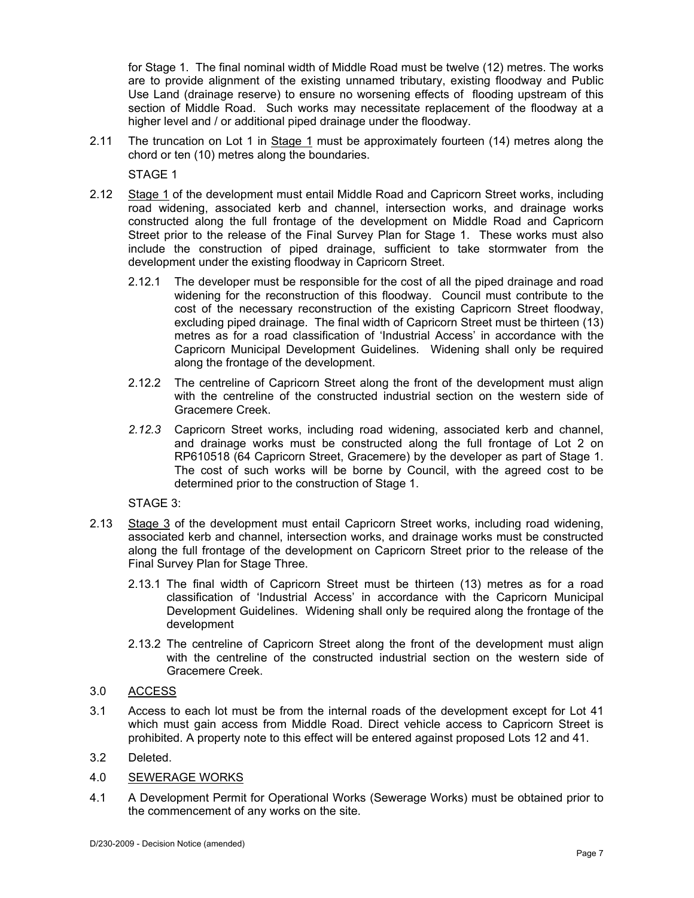for Stage 1. The final nominal width of Middle Road must be twelve (12) metres. The works are to provide alignment of the existing unnamed tributary, existing floodway and Public Use Land (drainage reserve) to ensure no worsening effects of flooding upstream of this section of Middle Road. Such works may necessitate replacement of the floodway at a higher level and / or additional piped drainage under the floodway.

2.11 The truncation on Lot 1 in Stage 1 must be approximately fourteen (14) metres along the chord or ten (10) metres along the boundaries.

STAGE 1

- 2.12 Stage 1 of the development must entail Middle Road and Capricorn Street works, including road widening, associated kerb and channel, intersection works, and drainage works constructed along the full frontage of the development on Middle Road and Capricorn Street prior to the release of the Final Survey Plan for Stage 1. These works must also include the construction of piped drainage, sufficient to take stormwater from the development under the existing floodway in Capricorn Street.
	- 2.12.1 The developer must be responsible for the cost of all the piped drainage and road widening for the reconstruction of this floodway. Council must contribute to the cost of the necessary reconstruction of the existing Capricorn Street floodway, excluding piped drainage. The final width of Capricorn Street must be thirteen (13) metres as for a road classification of 'Industrial Access' in accordance with the Capricorn Municipal Development Guidelines. Widening shall only be required along the frontage of the development.
	- 2.12.2 The centreline of Capricorn Street along the front of the development must align with the centreline of the constructed industrial section on the western side of Gracemere Creek.
	- *2.12.3* Capricorn Street works, including road widening, associated kerb and channel, and drainage works must be constructed along the full frontage of Lot 2 on RP610518 (64 Capricorn Street, Gracemere) by the developer as part of Stage 1. The cost of such works will be borne by Council, with the agreed cost to be determined prior to the construction of Stage 1.

STAGE 3:

- 2.13 Stage 3 of the development must entail Capricorn Street works, including road widening, associated kerb and channel, intersection works, and drainage works must be constructed along the full frontage of the development on Capricorn Street prior to the release of the Final Survey Plan for Stage Three.
	- 2.13.1 The final width of Capricorn Street must be thirteen (13) metres as for a road classification of 'Industrial Access' in accordance with the Capricorn Municipal Development Guidelines. Widening shall only be required along the frontage of the development
	- 2.13.2 The centreline of Capricorn Street along the front of the development must align with the centreline of the constructed industrial section on the western side of Gracemere Creek.
- 3.0 ACCESS
- 3.1 Access to each lot must be from the internal roads of the development except for Lot 41 which must gain access from Middle Road. Direct vehicle access to Capricorn Street is prohibited. A property note to this effect will be entered against proposed Lots 12 and 41.
- 3.2 Deleted.
- 4.0 SEWERAGE WORKS
- 4.1 A Development Permit for Operational Works (Sewerage Works) must be obtained prior to the commencement of any works on the site.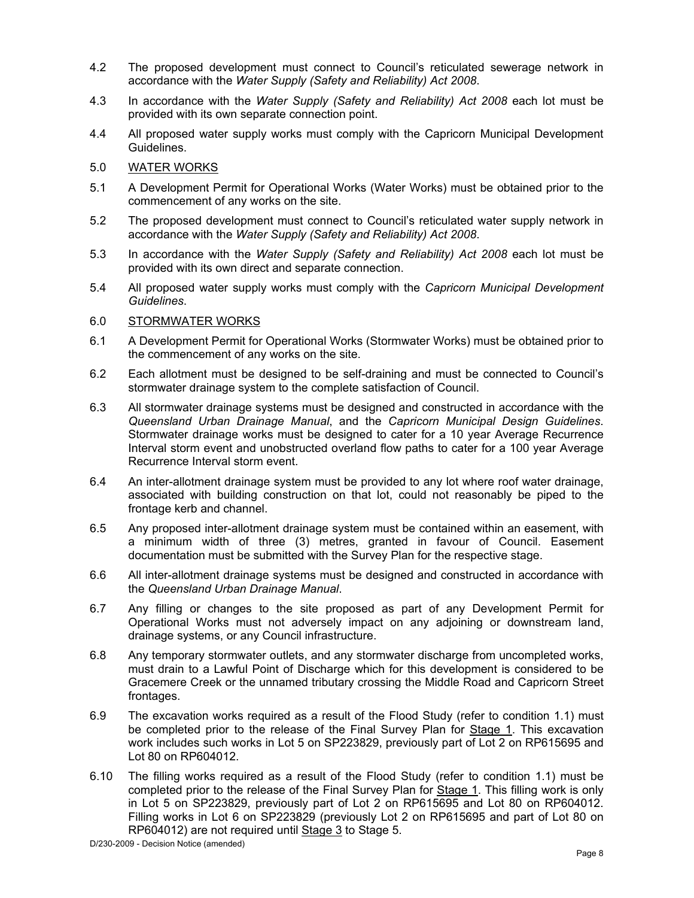- 4.2 The proposed development must connect to Council's reticulated sewerage network in accordance with the *Water Supply (Safety and Reliability) Act 2008*.
- 4.3 In accordance with the *Water Supply (Safety and Reliability) Act 2008* each lot must be provided with its own separate connection point.
- 4.4 All proposed water supply works must comply with the Capricorn Municipal Development Guidelines.
- 5.0 WATER WORKS
- 5.1 A Development Permit for Operational Works (Water Works) must be obtained prior to the commencement of any works on the site.
- 5.2 The proposed development must connect to Council's reticulated water supply network in accordance with the *Water Supply (Safety and Reliability) Act 2008*.
- 5.3 In accordance with the *Water Supply (Safety and Reliability) Act 2008* each lot must be provided with its own direct and separate connection.
- 5.4 All proposed water supply works must comply with the *Capricorn Municipal Development Guidelines*.

### 6.0 STORMWATER WORKS

- 6.1 A Development Permit for Operational Works (Stormwater Works) must be obtained prior to the commencement of any works on the site.
- 6.2 Each allotment must be designed to be self-draining and must be connected to Council's stormwater drainage system to the complete satisfaction of Council.
- 6.3 All stormwater drainage systems must be designed and constructed in accordance with the *Queensland Urban Drainage Manual*, and the *Capricorn Municipal Design Guidelines*. Stormwater drainage works must be designed to cater for a 10 year Average Recurrence Interval storm event and unobstructed overland flow paths to cater for a 100 year Average Recurrence Interval storm event.
- 6.4 An inter-allotment drainage system must be provided to any lot where roof water drainage, associated with building construction on that lot, could not reasonably be piped to the frontage kerb and channel.
- 6.5 Any proposed inter-allotment drainage system must be contained within an easement, with a minimum width of three (3) metres, granted in favour of Council. Easement documentation must be submitted with the Survey Plan for the respective stage.
- 6.6 All inter-allotment drainage systems must be designed and constructed in accordance with the *Queensland Urban Drainage Manual*.
- 6.7 Any filling or changes to the site proposed as part of any Development Permit for Operational Works must not adversely impact on any adjoining or downstream land, drainage systems, or any Council infrastructure.
- 6.8 Any temporary stormwater outlets, and any stormwater discharge from uncompleted works, must drain to a Lawful Point of Discharge which for this development is considered to be Gracemere Creek or the unnamed tributary crossing the Middle Road and Capricorn Street frontages.
- 6.9 The excavation works required as a result of the Flood Study (refer to condition 1.1) must be completed prior to the release of the Final Survey Plan for Stage 1. This excavation work includes such works in Lot 5 on SP223829, previously part of Lot 2 on RP615695 and Lot 80 on RP604012.
- 6.10 The filling works required as a result of the Flood Study (refer to condition 1.1) must be completed prior to the release of the Final Survey Plan for Stage 1. This filling work is only in Lot 5 on SP223829, previously part of Lot 2 on RP615695 and Lot 80 on RP604012. Filling works in Lot 6 on SP223829 (previously Lot 2 on RP615695 and part of Lot 80 on RP604012) are not required until Stage 3 to Stage 5.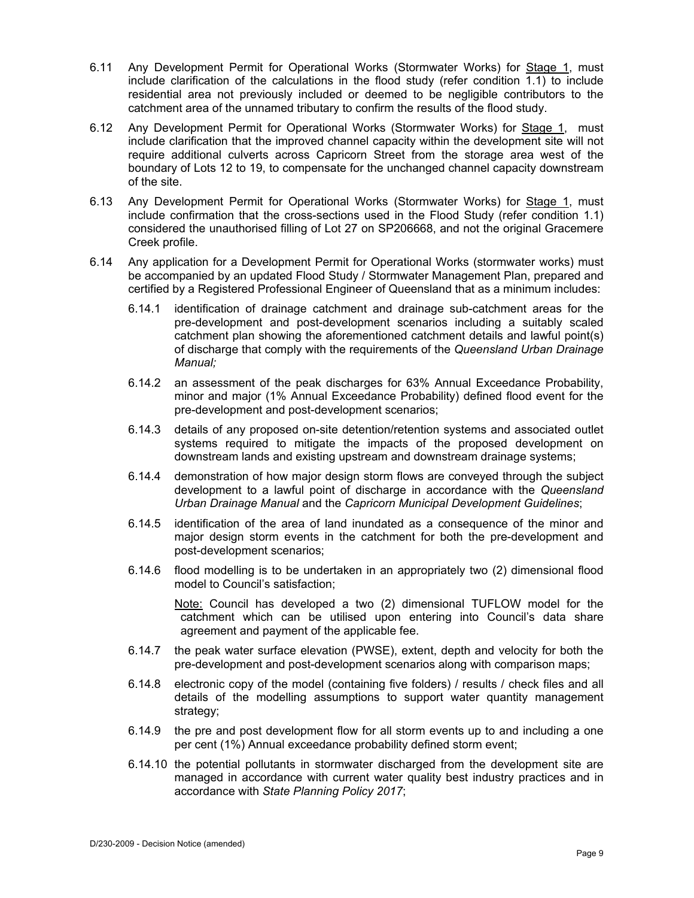- 6.11 Any Development Permit for Operational Works (Stormwater Works) for Stage 1, must include clarification of the calculations in the flood study (refer condition 1.1) to include residential area not previously included or deemed to be negligible contributors to the catchment area of the unnamed tributary to confirm the results of the flood study.
- 6.12 Any Development Permit for Operational Works (Stormwater Works) for Stage 1, must include clarification that the improved channel capacity within the development site will not require additional culverts across Capricorn Street from the storage area west of the boundary of Lots 12 to 19, to compensate for the unchanged channel capacity downstream of the site.
- 6.13 Any Development Permit for Operational Works (Stormwater Works) for Stage 1, must include confirmation that the cross-sections used in the Flood Study (refer condition 1.1) considered the unauthorised filling of Lot 27 on SP206668, and not the original Gracemere Creek profile.
- 6.14 Any application for a Development Permit for Operational Works (stormwater works) must be accompanied by an updated Flood Study / Stormwater Management Plan, prepared and certified by a Registered Professional Engineer of Queensland that as a minimum includes:
	- 6.14.1 identification of drainage catchment and drainage sub-catchment areas for the pre-development and post-development scenarios including a suitably scaled catchment plan showing the aforementioned catchment details and lawful point(s) of discharge that comply with the requirements of the *Queensland Urban Drainage Manual;*
	- 6.14.2 an assessment of the peak discharges for 63% Annual Exceedance Probability, minor and major (1% Annual Exceedance Probability) defined flood event for the pre-development and post-development scenarios;
	- 6.14.3 details of any proposed on-site detention/retention systems and associated outlet systems required to mitigate the impacts of the proposed development on downstream lands and existing upstream and downstream drainage systems;
	- 6.14.4 demonstration of how major design storm flows are conveyed through the subject development to a lawful point of discharge in accordance with the *Queensland Urban Drainage Manual* and the *Capricorn Municipal Development Guidelines*;
	- 6.14.5 identification of the area of land inundated as a consequence of the minor and major design storm events in the catchment for both the pre-development and post-development scenarios;
	- 6.14.6 flood modelling is to be undertaken in an appropriately two (2) dimensional flood model to Council's satisfaction;

Note: Council has developed a two (2) dimensional TUFLOW model for the catchment which can be utilised upon entering into Council's data share agreement and payment of the applicable fee.

- 6.14.7 the peak water surface elevation (PWSE), extent, depth and velocity for both the pre-development and post-development scenarios along with comparison maps;
- 6.14.8 electronic copy of the model (containing five folders) / results / check files and all details of the modelling assumptions to support water quantity management strategy;
- 6.14.9 the pre and post development flow for all storm events up to and including a one per cent (1%) Annual exceedance probability defined storm event;
- 6.14.10 the potential pollutants in stormwater discharged from the development site are managed in accordance with current water quality best industry practices and in accordance with *State Planning Policy 2017*;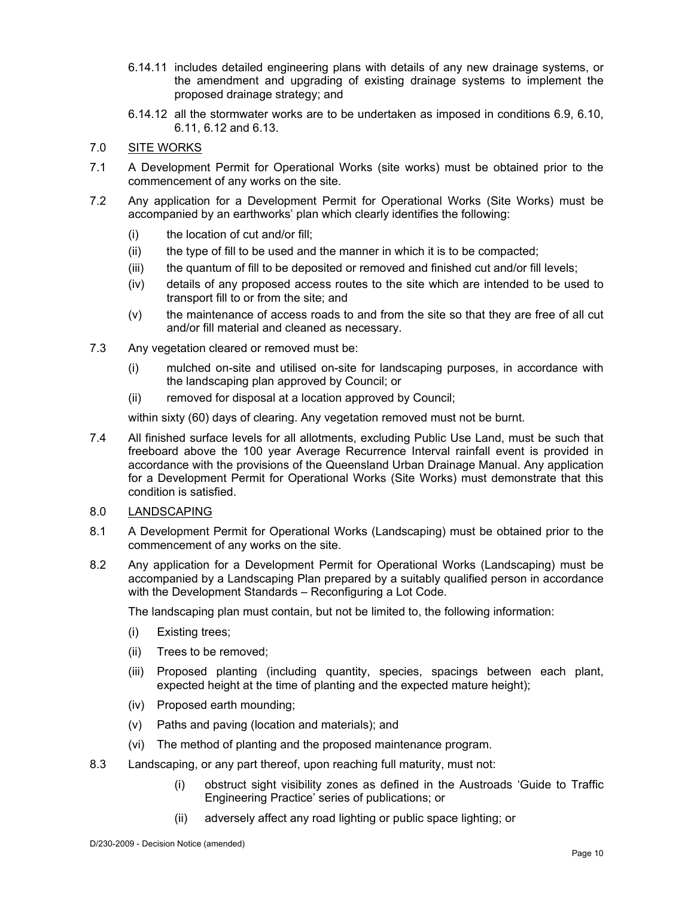- 6.14.11 includes detailed engineering plans with details of any new drainage systems, or the amendment and upgrading of existing drainage systems to implement the proposed drainage strategy; and
- 6.14.12 all the stormwater works are to be undertaken as imposed in conditions 6.9, 6.10, 6.11, 6.12 and 6.13.

# 7.0 SITE WORKS

- 7.1 A Development Permit for Operational Works (site works) must be obtained prior to the commencement of any works on the site.
- 7.2 Any application for a Development Permit for Operational Works (Site Works) must be accompanied by an earthworks' plan which clearly identifies the following:
	- (i) the location of cut and/or fill;
	- (ii) the type of fill to be used and the manner in which it is to be compacted;
	- (iii) the quantum of fill to be deposited or removed and finished cut and/or fill levels;
	- (iv) details of any proposed access routes to the site which are intended to be used to transport fill to or from the site; and
	- (v) the maintenance of access roads to and from the site so that they are free of all cut and/or fill material and cleaned as necessary.
- 7.3 Any vegetation cleared or removed must be:
	- (i) mulched on-site and utilised on-site for landscaping purposes, in accordance with the landscaping plan approved by Council; or
	- (ii) removed for disposal at a location approved by Council;

within sixty (60) days of clearing. Any vegetation removed must not be burnt.

7.4 All finished surface levels for all allotments, excluding Public Use Land, must be such that freeboard above the 100 year Average Recurrence Interval rainfall event is provided in accordance with the provisions of the Queensland Urban Drainage Manual. Any application for a Development Permit for Operational Works (Site Works) must demonstrate that this condition is satisfied.

# 8.0 LANDSCAPING

- 8.1 A Development Permit for Operational Works (Landscaping) must be obtained prior to the commencement of any works on the site.
- 8.2 Any application for a Development Permit for Operational Works (Landscaping) must be accompanied by a Landscaping Plan prepared by a suitably qualified person in accordance with the Development Standards – Reconfiguring a Lot Code.

The landscaping plan must contain, but not be limited to, the following information:

- (i) Existing trees;
- (ii) Trees to be removed;
- (iii) Proposed planting (including quantity, species, spacings between each plant, expected height at the time of planting and the expected mature height);
- (iv) Proposed earth mounding;
- (v) Paths and paving (location and materials); and
- (vi) The method of planting and the proposed maintenance program.
- 8.3 Landscaping, or any part thereof, upon reaching full maturity, must not:
	- (i) obstruct sight visibility zones as defined in the Austroads 'Guide to Traffic Engineering Practice' series of publications; or
	- (ii) adversely affect any road lighting or public space lighting; or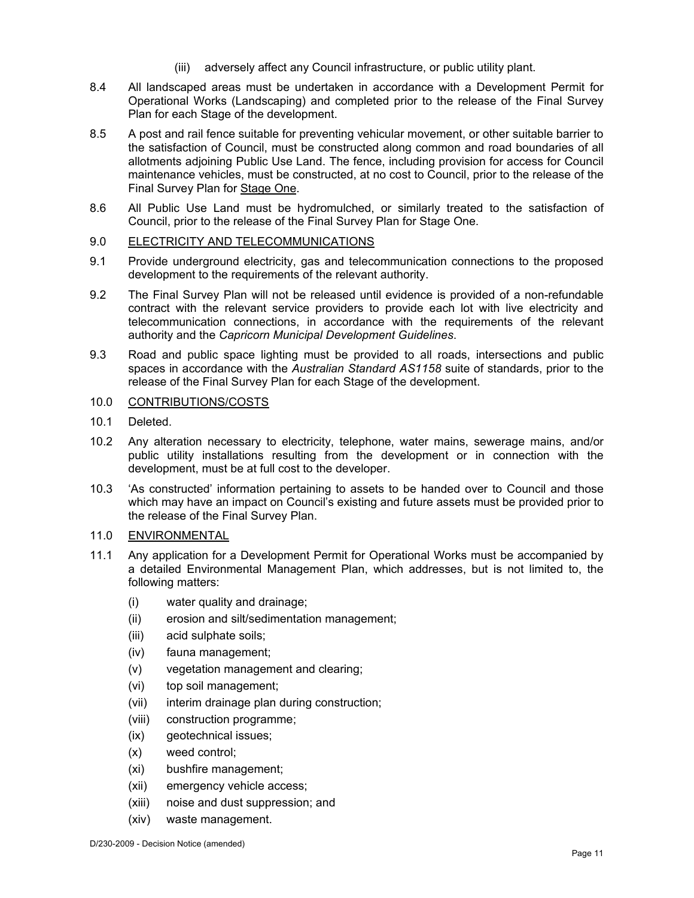- (iii) adversely affect any Council infrastructure, or public utility plant.
- 8.4 All landscaped areas must be undertaken in accordance with a Development Permit for Operational Works (Landscaping) and completed prior to the release of the Final Survey Plan for each Stage of the development.
- 8.5 A post and rail fence suitable for preventing vehicular movement, or other suitable barrier to the satisfaction of Council, must be constructed along common and road boundaries of all allotments adjoining Public Use Land. The fence, including provision for access for Council maintenance vehicles, must be constructed, at no cost to Council, prior to the release of the Final Survey Plan for Stage One.
- 8.6 All Public Use Land must be hydromulched, or similarly treated to the satisfaction of Council, prior to the release of the Final Survey Plan for Stage One.

# 9.0 ELECTRICITY AND TELECOMMUNICATIONS

- 9.1 Provide underground electricity, gas and telecommunication connections to the proposed development to the requirements of the relevant authority.
- 9.2 The Final Survey Plan will not be released until evidence is provided of a non-refundable contract with the relevant service providers to provide each lot with live electricity and telecommunication connections, in accordance with the requirements of the relevant authority and the *Capricorn Municipal Development Guidelines*.
- 9.3 Road and public space lighting must be provided to all roads, intersections and public spaces in accordance with the *Australian Standard AS1158* suite of standards, prior to the release of the Final Survey Plan for each Stage of the development.

# 10.0 CONTRIBUTIONS/COSTS

- 10.1 Deleted.
- 10.2 Any alteration necessary to electricity, telephone, water mains, sewerage mains, and/or public utility installations resulting from the development or in connection with the development, must be at full cost to the developer.
- 10.3 'As constructed' information pertaining to assets to be handed over to Council and those which may have an impact on Council's existing and future assets must be provided prior to the release of the Final Survey Plan.

# 11.0 ENVIRONMENTAL

- 11.1 Any application for a Development Permit for Operational Works must be accompanied by a detailed Environmental Management Plan, which addresses, but is not limited to, the following matters:
	- (i) water quality and drainage;
	- (ii) erosion and silt/sedimentation management;
	- (iii) acid sulphate soils;
	- (iv) fauna management;
	- (v) vegetation management and clearing;
	- (vi) top soil management;
	- (vii) interim drainage plan during construction;
	- (viii) construction programme;
	- (ix) geotechnical issues;
	- (x) weed control;
	- (xi) bushfire management;
	- (xii) emergency vehicle access;
	- (xiii) noise and dust suppression; and
	- (xiv) waste management.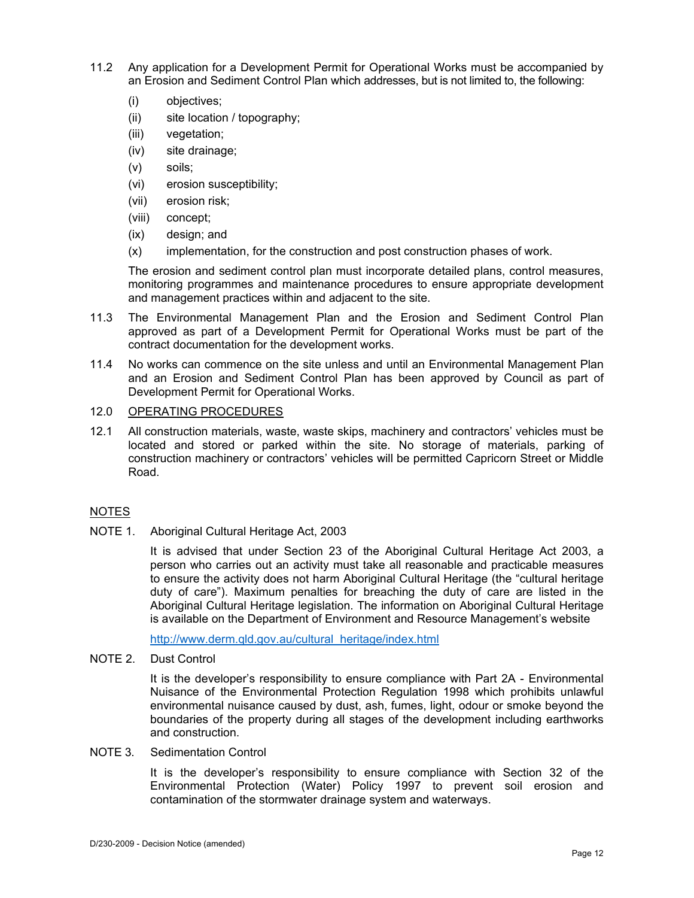- 11.2 Any application for a Development Permit for Operational Works must be accompanied by an Erosion and Sediment Control Plan which addresses, but is not limited to, the following:
	- (i) objectives;
	- (ii) site location / topography;
	- (iii) vegetation;
	- (iv) site drainage;
	- (v) soils;
	- (vi) erosion susceptibility;
	- (vii) erosion risk;
	- (viii) concept;
	- (ix) design; and
	- (x) implementation, for the construction and post construction phases of work.

The erosion and sediment control plan must incorporate detailed plans, control measures, monitoring programmes and maintenance procedures to ensure appropriate development and management practices within and adjacent to the site.

- 11.3 The Environmental Management Plan and the Erosion and Sediment Control Plan approved as part of a Development Permit for Operational Works must be part of the contract documentation for the development works.
- 11.4 No works can commence on the site unless and until an Environmental Management Plan and an Erosion and Sediment Control Plan has been approved by Council as part of Development Permit for Operational Works.

# 12.0 OPERATING PROCEDURES

12.1 All construction materials, waste, waste skips, machinery and contractors' vehicles must be located and stored or parked within the site. No storage of materials, parking of construction machinery or contractors' vehicles will be permitted Capricorn Street or Middle Road.

# NOTES

NOTE 1. Aboriginal Cultural Heritage Act, 2003

It is advised that under Section 23 of the Aboriginal Cultural Heritage Act 2003, a person who carries out an activity must take all reasonable and practicable measures to ensure the activity does not harm Aboriginal Cultural Heritage (the "cultural heritage duty of care"). Maximum penalties for breaching the duty of care are listed in the Aboriginal Cultural Heritage legislation. The information on Aboriginal Cultural Heritage is available on the Department of Environment and Resource Management's website

http://www.derm.qld.gov.au/cultural\_heritage/index.html

NOTE 2. Dust Control

It is the developer's responsibility to ensure compliance with Part 2A - Environmental Nuisance of the Environmental Protection Regulation 1998 which prohibits unlawful environmental nuisance caused by dust, ash, fumes, light, odour or smoke beyond the boundaries of the property during all stages of the development including earthworks and construction.

# NOTE 3. Sedimentation Control

It is the developer's responsibility to ensure compliance with Section 32 of the Environmental Protection (Water) Policy 1997 to prevent soil erosion and contamination of the stormwater drainage system and waterways.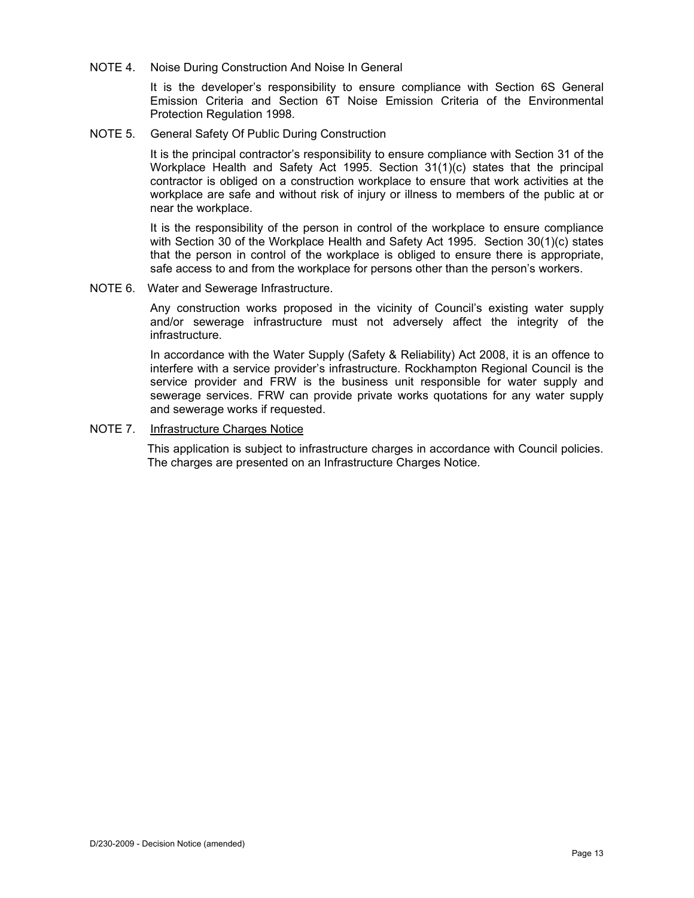NOTE 4. Noise During Construction And Noise In General

It is the developer's responsibility to ensure compliance with Section 6S General Emission Criteria and Section 6T Noise Emission Criteria of the Environmental Protection Regulation 1998.

NOTE 5. General Safety Of Public During Construction

It is the principal contractor's responsibility to ensure compliance with Section 31 of the Workplace Health and Safety Act 1995. Section 31(1)(c) states that the principal contractor is obliged on a construction workplace to ensure that work activities at the workplace are safe and without risk of injury or illness to members of the public at or near the workplace.

It is the responsibility of the person in control of the workplace to ensure compliance with Section 30 of the Workplace Health and Safety Act 1995. Section 30(1)(c) states that the person in control of the workplace is obliged to ensure there is appropriate, safe access to and from the workplace for persons other than the person's workers.

NOTE 6. Water and Sewerage Infrastructure.

Any construction works proposed in the vicinity of Council's existing water supply and/or sewerage infrastructure must not adversely affect the integrity of the infrastructure.

In accordance with the Water Supply (Safety & Reliability) Act 2008, it is an offence to interfere with a service provider's infrastructure. Rockhampton Regional Council is the service provider and FRW is the business unit responsible for water supply and sewerage services. FRW can provide private works quotations for any water supply and sewerage works if requested.

NOTE 7. Infrastructure Charges Notice

This application is subject to infrastructure charges in accordance with Council policies. The charges are presented on an Infrastructure Charges Notice.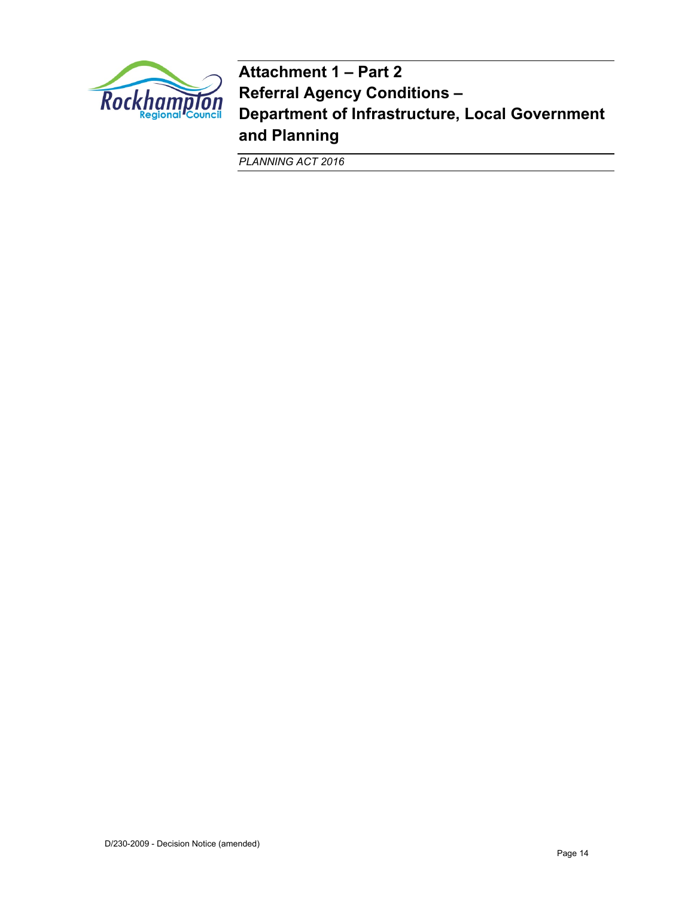

**Attachment 1 – Part 2 Referral Agency Conditions – Department of Infrastructure, Local Government and Planning** 

*PLANNING ACT 2016*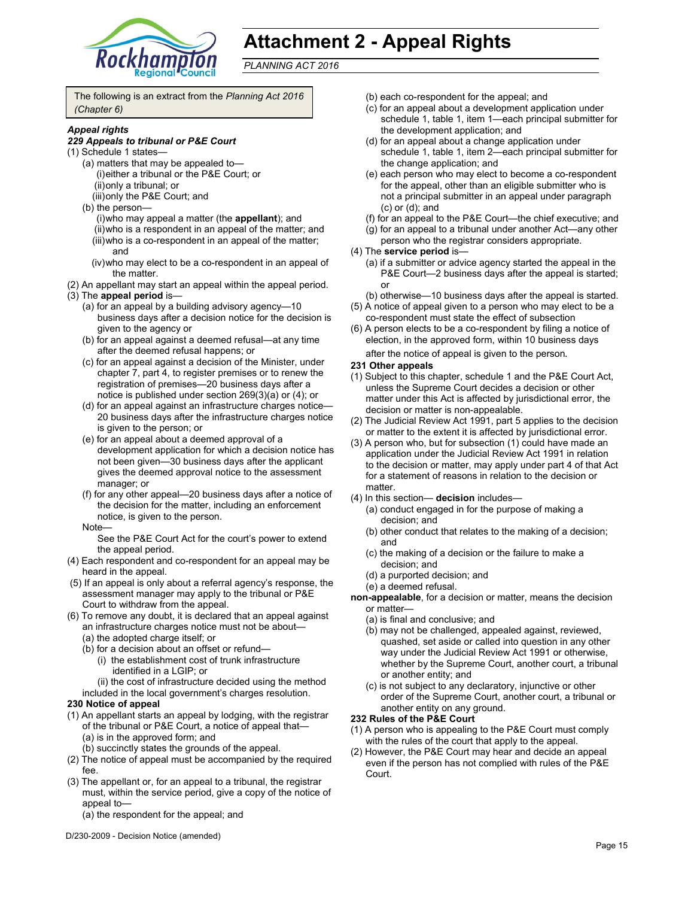

# **Attachment 2 - Appeal Rights**

*PLANNING ACT 2016*

The following is an extract from the *Planning Act 2016 (Chapter 6)*

### *Appeal rights*

#### *229 Appeals to tribunal or P&E Court*

- (1) Schedule 1 states—
	- (a) matters that may be appealed to— (i) either a tribunal or the P&E Court; or (ii) only a tribunal; or
		- (iii) only the P&E Court; and
	- (b) the person—
		- (i) who may appeal a matter (the **appellant**); and (ii) who is a respondent in an appeal of the matter; and (iii) who is a co-respondent in an appeal of the matter; and
		- (iv) who may elect to be a co-respondent in an appeal of the matter.
- (2) An appellant may start an appeal within the appeal period.
- (3) The **appeal period** is—
	- (a) for an appeal by a building advisory agency—10 business days after a decision notice for the decision is given to the agency or
	- (b) for an appeal against a deemed refusal—at any time after the deemed refusal happens; or
	- (c) for an appeal against a decision of the Minister, under chapter 7, part 4, to register premises or to renew the registration of premises—20 business days after a notice is published under section 269(3)(a) or (4); or
	- (d) for an appeal against an infrastructure charges notice— 20 business days after the infrastructure charges notice is given to the person; or
	- (e) for an appeal about a deemed approval of a development application for which a decision notice has not been given—30 business days after the applicant gives the deemed approval notice to the assessment manager; or
	- (f) for any other appeal—20 business days after a notice of the decision for the matter, including an enforcement notice, is given to the person.
	- Note—
		- See the P&E Court Act for the court's power to extend the appeal period.
- (4) Each respondent and co-respondent for an appeal may be heard in the appeal.
- (5) If an appeal is only about a referral agency's response, the assessment manager may apply to the tribunal or P&E Court to withdraw from the appeal.
- (6) To remove any doubt, it is declared that an appeal against an infrastructure charges notice must not be about—
	- (a) the adopted charge itself; or
	- (b) for a decision about an offset or refund—
		- (i) the establishment cost of trunk infrastructure identified in a LGIP; or
	- (ii) the cost of infrastructure decided using the method included in the local government's charges resolution.

### **230 Notice of appeal**

- (1) An appellant starts an appeal by lodging, with the registrar of the tribunal or P&E Court, a notice of appeal that— (a) is in the approved form; and
	- (b) succinctly states the grounds of the appeal.
- (2) The notice of appeal must be accompanied by the required fee.
- (3) The appellant or, for an appeal to a tribunal, the registrar must, within the service period, give a copy of the notice of appeal to—
	- (a) the respondent for the appeal; and

D/230-2009 - Decision Notice (amended)

- (b) each co-respondent for the appeal; and
- (c) for an appeal about a development application under schedule 1, table 1, item 1—each principal submitter for the development application; and
- (d) for an appeal about a change application under schedule 1, table 1, item 2—each principal submitter for the change application; and
- (e) each person who may elect to become a co-respondent for the appeal, other than an eligible submitter who is not a principal submitter in an appeal under paragraph (c) or (d); and
- (f) for an appeal to the P&E Court—the chief executive; and
- (g) for an appeal to a tribunal under another Act—any other person who the registrar considers appropriate.
- (4) The **service period** is—
	- (a) if a submitter or advice agency started the appeal in the P&E Court—2 business days after the appeal is started; or
	- (b) otherwise—10 business days after the appeal is started.
- (5) A notice of appeal given to a person who may elect to be a co-respondent must state the effect of subsection
- (6) A person elects to be a co-respondent by filing a notice of election, in the approved form, within 10 business days after the notice of appeal is given to the person*.*

### **231 Other appeals**

- (1) Subject to this chapter, schedule 1 and the P&E Court Act, unless the Supreme Court decides a decision or other matter under this Act is affected by jurisdictional error, the decision or matter is non-appealable.
- (2) The Judicial Review Act 1991, part 5 applies to the decision or matter to the extent it is affected by jurisdictional error.
- (3) A person who, but for subsection (1) could have made an application under the Judicial Review Act 1991 in relation to the decision or matter, may apply under part 4 of that Act for a statement of reasons in relation to the decision or matter.
- (4) In this section— **decision** includes—
	- (a) conduct engaged in for the purpose of making a decision; and
	- (b) other conduct that relates to the making of a decision; and
	- (c) the making of a decision or the failure to make a decision; and
	- (d) a purported decision; and
	- (e) a deemed refusal.

**non-appealable**, for a decision or matter, means the decision or matter—

- (a) is final and conclusive; and
- (b) may not be challenged, appealed against, reviewed, quashed, set aside or called into question in any other way under the Judicial Review Act 1991 or otherwise, whether by the Supreme Court, another court, a tribunal or another entity; and
- (c) is not subject to any declaratory, injunctive or other order of the Supreme Court, another court, a tribunal or another entity on any ground.

### **232 Rules of the P&E Court**

- (1) A person who is appealing to the P&E Court must comply with the rules of the court that apply to the appeal.
- (2) However, the P&E Court may hear and decide an appeal even if the person has not complied with rules of the P&E Court.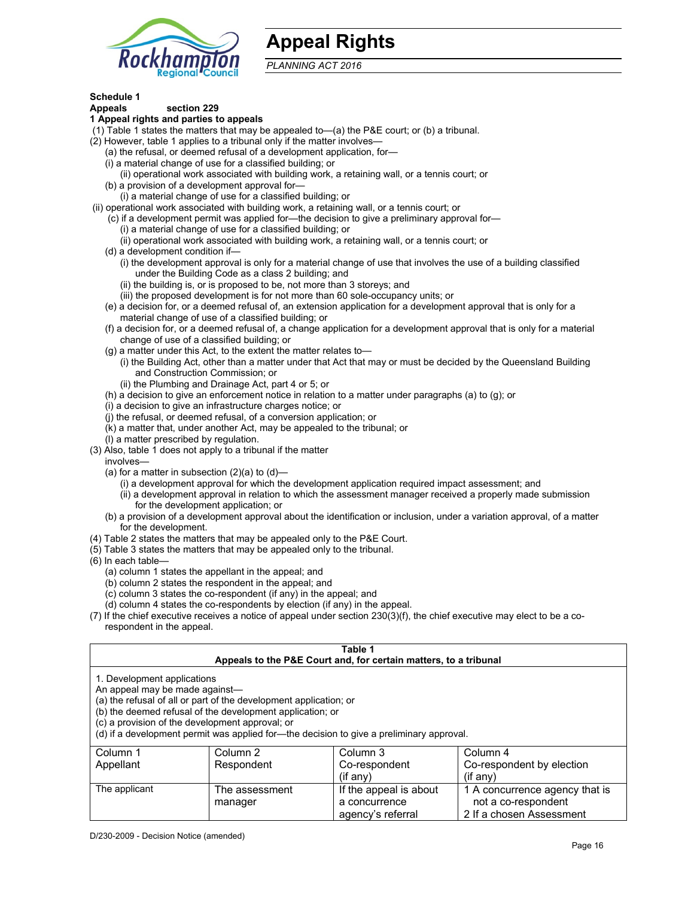

# **Appeal Rights**

*PLANNING ACT 2016*

# **Schedule 1**

#### **Appeals section 229 1 Appeal rights and parties to appeals**

- (1) Table 1 states the matters that may be appealed to—(a) the P&E court; or (b) a tribunal.
- (2) However, table 1 applies to a tribunal only if the matter involves—
	- (a) the refusal, or deemed refusal of a development application, for—
	- (i) a material change of use for a classified building; or
	- (ii) operational work associated with building work, a retaining wall, or a tennis court; or
	- (b) a provision of a development approval for—
	- (i) a material change of use for a classified building; or
- (ii) operational work associated with building work, a retaining wall, or a tennis court; or
	- (c) if a development permit was applied for—the decision to give a preliminary approval for—
		- (i) a material change of use for a classified building; or
		- (ii) operational work associated with building work, a retaining wall, or a tennis court; or
	- (d) a development condition if—
		- (i) the development approval is only for a material change of use that involves the use of a building classified under the Building Code as a class 2 building; and
		- (ii) the building is, or is proposed to be, not more than 3 storeys; and
		- (iii) the proposed development is for not more than 60 sole-occupancy units; or
	- (e) a decision for, or a deemed refusal of, an extension application for a development approval that is only for a material change of use of a classified building; or
	- (f) a decision for, or a deemed refusal of, a change application for a development approval that is only for a material change of use of a classified building; or
	- (g) a matter under this Act, to the extent the matter relates to—
		- (i) the Building Act, other than a matter under that Act that may or must be decided by the Queensland Building and Construction Commission; or
		- (ii) the Plumbing and Drainage Act, part 4 or 5; or
	- (h) a decision to give an enforcement notice in relation to a matter under paragraphs (a) to (g); or
	- (i) a decision to give an infrastructure charges notice; or
	- (j) the refusal, or deemed refusal, of a conversion application; or
	- (k) a matter that, under another Act, may be appealed to the tribunal; or
	- (l) a matter prescribed by regulation.
- (3) Also, table 1 does not apply to a tribunal if the matter
- involves—
	- (a) for a matter in subsection  $(2)(a)$  to  $(d)$ 
		- (i) a development approval for which the development application required impact assessment; and
		- (ii) a development approval in relation to which the assessment manager received a properly made submission for the development application; or
	- (b) a provision of a development approval about the identification or inclusion, under a variation approval, of a matter for the development.
- (4) Table 2 states the matters that may be appealed only to the P&E Court.
- (5) Table 3 states the matters that may be appealed only to the tribunal.
- (6) In each table—
	- (a) column 1 states the appellant in the appeal; and
	- (b) column 2 states the respondent in the appeal; and
	- (c) column 3 states the co-respondent (if any) in the appeal; and

manager

- (d) column 4 states the co-respondents by election (if any) in the appeal.
- (7) If the chief executive receives a notice of appeal under section 230(3)(f), the chief executive may elect to be a corespondent in the appeal.

| Table 1<br>Appeals to the P&E Court and, for certain matters, to a tribunal                                                                                                                                                                                                                                                                    |                |                        |                                |  |
|------------------------------------------------------------------------------------------------------------------------------------------------------------------------------------------------------------------------------------------------------------------------------------------------------------------------------------------------|----------------|------------------------|--------------------------------|--|
| 1. Development applications<br>An appeal may be made against-<br>(a) the refusal of all or part of the development application; or<br>(b) the deemed refusal of the development application; or<br>(c) a provision of the development approval; or<br>(d) if a development permit was applied for-the decision to give a preliminary approval. |                |                        |                                |  |
| Column 3<br>Column 4<br>Column 2<br>Column 1<br>Co-respondent by election<br>Co-respondent<br>Appellant<br>Respondent<br>$(if$ any)<br>$(if$ any)                                                                                                                                                                                              |                |                        |                                |  |
| The applicant                                                                                                                                                                                                                                                                                                                                  | The assessment | If the appeal is about | 1 A concurrence agency that is |  |

a concurrence agency's referral

not a co-respondent 2 If a chosen Assessment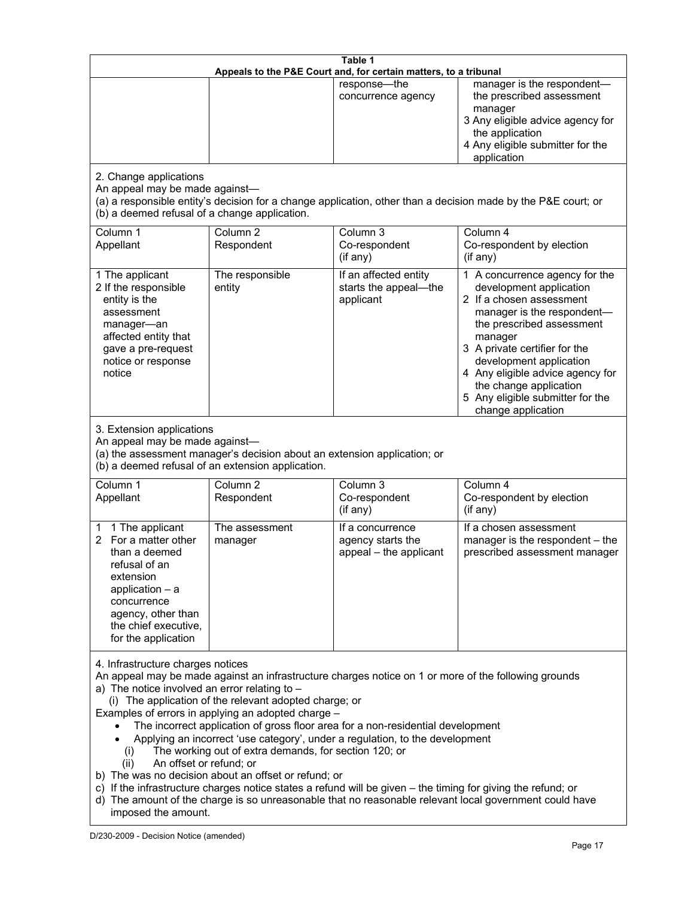| Table 1<br>Appeals to the P&E Court and, for certain matters, to a tribunal                                                                                                                                                                                                                                                                                                                                                                                                                                                                                                                                                                                                                                                                                                                                                                                                                 |                                                                                                                               |                                                                 |                                                                                                                                                                                                                                                                                                                                                 |
|---------------------------------------------------------------------------------------------------------------------------------------------------------------------------------------------------------------------------------------------------------------------------------------------------------------------------------------------------------------------------------------------------------------------------------------------------------------------------------------------------------------------------------------------------------------------------------------------------------------------------------------------------------------------------------------------------------------------------------------------------------------------------------------------------------------------------------------------------------------------------------------------|-------------------------------------------------------------------------------------------------------------------------------|-----------------------------------------------------------------|-------------------------------------------------------------------------------------------------------------------------------------------------------------------------------------------------------------------------------------------------------------------------------------------------------------------------------------------------|
|                                                                                                                                                                                                                                                                                                                                                                                                                                                                                                                                                                                                                                                                                                                                                                                                                                                                                             |                                                                                                                               | response-the<br>concurrence agency                              | manager is the respondent-<br>the prescribed assessment<br>manager<br>3 Any eligible advice agency for<br>the application<br>4 Any eligible submitter for the<br>application                                                                                                                                                                    |
| 2. Change applications<br>An appeal may be made against-<br>(b) a deemed refusal of a change application.                                                                                                                                                                                                                                                                                                                                                                                                                                                                                                                                                                                                                                                                                                                                                                                   |                                                                                                                               |                                                                 | (a) a responsible entity's decision for a change application, other than a decision made by the P&E court; or                                                                                                                                                                                                                                   |
| Column 1<br>Appellant                                                                                                                                                                                                                                                                                                                                                                                                                                                                                                                                                                                                                                                                                                                                                                                                                                                                       | Column <sub>2</sub><br>Respondent                                                                                             | Column 3<br>Co-respondent<br>(if any)                           | Column 4<br>Co-respondent by election<br>(if any)                                                                                                                                                                                                                                                                                               |
| 1 The applicant<br>2 If the responsible<br>entity is the<br>assessment<br>manager-an<br>affected entity that<br>gave a pre-request<br>notice or response<br>notice                                                                                                                                                                                                                                                                                                                                                                                                                                                                                                                                                                                                                                                                                                                          | The responsible<br>entity                                                                                                     | If an affected entity<br>starts the appeal-the<br>applicant     | 1 A concurrence agency for the<br>development application<br>2 If a chosen assessment<br>manager is the respondent-<br>the prescribed assessment<br>manager<br>3 A private certifier for the<br>development application<br>4 Any eligible advice agency for<br>the change application<br>5 Any eligible submitter for the<br>change application |
| 3. Extension applications<br>An appeal may be made against-                                                                                                                                                                                                                                                                                                                                                                                                                                                                                                                                                                                                                                                                                                                                                                                                                                 | (a) the assessment manager's decision about an extension application; or<br>(b) a deemed refusal of an extension application. |                                                                 |                                                                                                                                                                                                                                                                                                                                                 |
| Column 1<br>Appellant                                                                                                                                                                                                                                                                                                                                                                                                                                                                                                                                                                                                                                                                                                                                                                                                                                                                       | Column <sub>2</sub><br>Respondent                                                                                             | Column 3<br>Co-respondent<br>(if any)                           | Column 4<br>Co-respondent by election<br>(if any)                                                                                                                                                                                                                                                                                               |
| 1 The applicant<br>1<br>2 For a matter other<br>than a deemed<br>refusal of an<br>extension<br>application $-$ a<br>concurrence<br>agency, other than<br>the chief executive,<br>for the application                                                                                                                                                                                                                                                                                                                                                                                                                                                                                                                                                                                                                                                                                        | The assessment<br>manager                                                                                                     | If a concurrence<br>agency starts the<br>appeal - the applicant | If a chosen assessment<br>manager is the respondent - the<br>prescribed assessment manager                                                                                                                                                                                                                                                      |
| 4. Infrastructure charges notices<br>An appeal may be made against an infrastructure charges notice on 1 or more of the following grounds<br>a) The notice involved an error relating to $-$<br>(i) The application of the relevant adopted charge; or<br>Examples of errors in applying an adopted charge -<br>The incorrect application of gross floor area for a non-residential development<br>Applying an incorrect 'use category', under a regulation, to the development<br>The working out of extra demands, for section 120; or<br>(1)<br>An offset or refund; or<br>(ii)<br>b) The was no decision about an offset or refund; or<br>c) If the infrastructure charges notice states a refund will be given - the timing for giving the refund; or<br>d) The amount of the charge is so unreasonable that no reasonable relevant local government could have<br>imposed the amount. |                                                                                                                               |                                                                 |                                                                                                                                                                                                                                                                                                                                                 |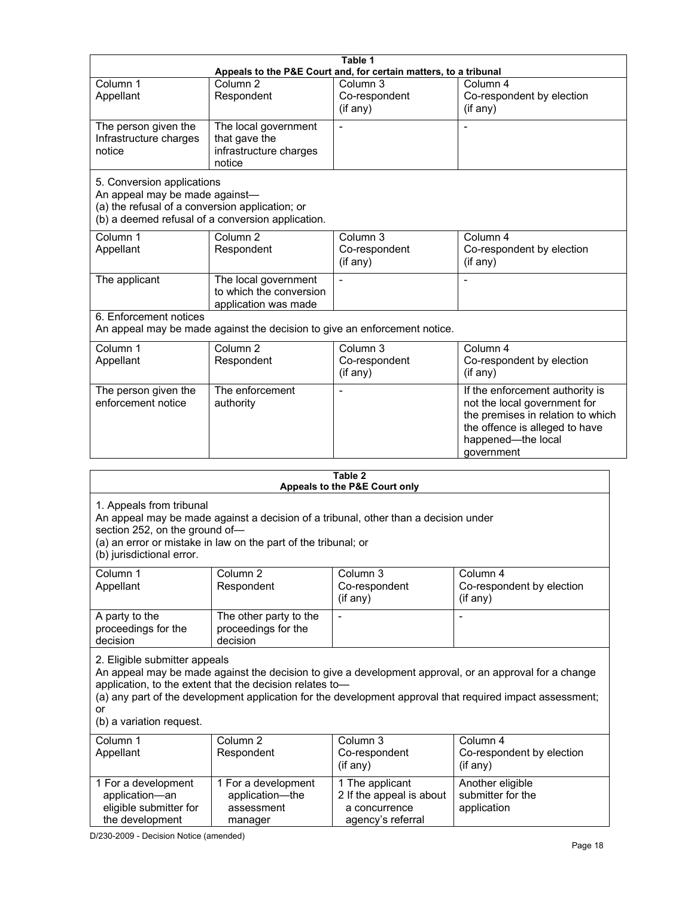|                                                                                                                  |                                                                                                                                                                                            | Table 1<br>Appeals to the P&E Court and, for certain matters, to a tribunal |                                                                                                                                                                                                                     |
|------------------------------------------------------------------------------------------------------------------|--------------------------------------------------------------------------------------------------------------------------------------------------------------------------------------------|-----------------------------------------------------------------------------|---------------------------------------------------------------------------------------------------------------------------------------------------------------------------------------------------------------------|
| Column 1<br>Appellant                                                                                            | Column <sub>2</sub><br>Respondent                                                                                                                                                          | Column 3<br>Co-respondent<br>(if any)                                       | Column 4<br>Co-respondent by election<br>(if any)                                                                                                                                                                   |
| The person given the<br>Infrastructure charges<br>notice                                                         | The local government<br>that gave the<br>infrastructure charges<br>notice                                                                                                                  |                                                                             |                                                                                                                                                                                                                     |
| 5. Conversion applications<br>An appeal may be made against-<br>(a) the refusal of a conversion application; or  | (b) a deemed refusal of a conversion application.                                                                                                                                          |                                                                             |                                                                                                                                                                                                                     |
| Column 1<br>Appellant                                                                                            | Column <sub>2</sub><br>Respondent                                                                                                                                                          | Column 3<br>Co-respondent<br>(if any)                                       | Column 4<br>Co-respondent by election<br>$($ if any $)$                                                                                                                                                             |
| The applicant                                                                                                    | The local government<br>to which the conversion<br>application was made                                                                                                                    | $\blacksquare$                                                              | $\blacksquare$                                                                                                                                                                                                      |
| 6. Enforcement notices                                                                                           | An appeal may be made against the decision to give an enforcement notice.                                                                                                                  |                                                                             |                                                                                                                                                                                                                     |
| Column 1<br>Appellant                                                                                            | Column <sub>2</sub><br>Respondent                                                                                                                                                          | Column 3<br>Co-respondent<br>(if any)                                       | Column 4<br>Co-respondent by election<br>(if any)                                                                                                                                                                   |
| The person given the<br>enforcement notice                                                                       | The enforcement<br>authority                                                                                                                                                               |                                                                             | If the enforcement authority is<br>not the local government for<br>the premises in relation to which<br>the offence is alleged to have<br>happened-the local<br>government                                          |
|                                                                                                                  |                                                                                                                                                                                            | Table 2<br>Appeals to the P&E Court only                                    |                                                                                                                                                                                                                     |
| 1. Appeals from tribunal<br>section 252, on the ground of-<br>(b) jurisdictional error.<br>Column 1<br>Appellant | An appeal may be made against a decision of a tribunal, other than a decision under<br>(a) an error or mistake in law on the part of the tribunal; or<br>Column <sub>2</sub><br>Respondent | Column 3<br>Co-respondent<br>(if any)                                       | Column 4<br>Co-respondent by election<br>(if any)                                                                                                                                                                   |
| A party to the<br>proceedings for the<br>decision                                                                | The other party to the<br>proceedings for the<br>decision                                                                                                                                  |                                                                             |                                                                                                                                                                                                                     |
| 2. Eligible submitter appeals<br>or<br>(b) a variation request.                                                  | application, to the extent that the decision relates to-                                                                                                                                   |                                                                             | An appeal may be made against the decision to give a development approval, or an approval for a change<br>(a) any part of the development application for the development approval that required impact assessment; |
| Column 1<br>Appellant                                                                                            | Column <sub>2</sub><br>Respondent                                                                                                                                                          | Column 3<br>Co-respondent<br>(if any)                                       | Column 4<br>Co-respondent by election<br>(if any)                                                                                                                                                                   |
| 1 For a development<br>application-an<br>eligible submitter for                                                  | 1 For a development<br>application-the<br>assessment                                                                                                                                       | 1 The applicant<br>2 If the appeal is about<br>a concurrence                | Another eligible<br>submitter for the<br>application                                                                                                                                                                |

| Column 1<br>Appellant                                                              | Column 2<br>Respondent                                          | Column 3<br>Co-respondent<br>(if any)                                             | Column 4<br>Co-respondent by election<br>(if any)    |
|------------------------------------------------------------------------------------|-----------------------------------------------------------------|-----------------------------------------------------------------------------------|------------------------------------------------------|
| 1 For a development<br>application-an<br>eligible submitter for<br>the development | 1 For a development<br>application-the<br>assessment<br>manager | 1 The applicant<br>2 If the appeal is about<br>a concurrence<br>agency's referral | Another eligible<br>submitter for the<br>application |

D/230-2009 - Decision Notice (amended)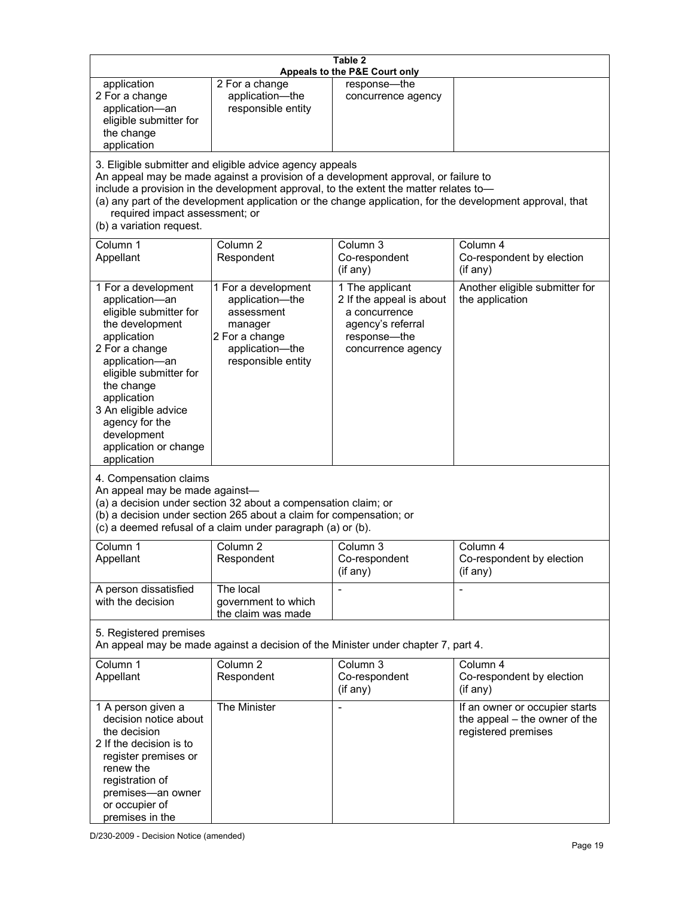| Table 2<br>Appeals to the P&E Court only                                                                                                                                                                                                                                                      |                                                                                                                                                                                                      |                                                                                                                                                                             |                                                                                                           |  |
|-----------------------------------------------------------------------------------------------------------------------------------------------------------------------------------------------------------------------------------------------------------------------------------------------|------------------------------------------------------------------------------------------------------------------------------------------------------------------------------------------------------|-----------------------------------------------------------------------------------------------------------------------------------------------------------------------------|-----------------------------------------------------------------------------------------------------------|--|
| application<br>2 For a change<br>application-an<br>eligible submitter for<br>the change<br>application                                                                                                                                                                                        | 2 For a change<br>application-the<br>responsible entity                                                                                                                                              | response-the<br>concurrence agency                                                                                                                                          |                                                                                                           |  |
| required impact assessment; or<br>(b) a variation request.                                                                                                                                                                                                                                    | 3. Eligible submitter and eligible advice agency appeals                                                                                                                                             | An appeal may be made against a provision of a development approval, or failure to<br>include a provision in the development approval, to the extent the matter relates to- | (a) any part of the development application or the change application, for the development approval, that |  |
| Column 1<br>Appellant                                                                                                                                                                                                                                                                         | Column <sub>2</sub><br>Respondent                                                                                                                                                                    | Column <sub>3</sub><br>Co-respondent<br>(if any)                                                                                                                            | Column 4<br>Co-respondent by election<br>(if any)                                                         |  |
| 1 For a development<br>application-an<br>eligible submitter for<br>the development<br>application<br>2 For a change<br>application-an<br>eligible submitter for<br>the change<br>application<br>3 An eligible advice<br>agency for the<br>development<br>application or change<br>application | 1 For a development<br>application-the<br>assessment<br>manager<br>2 For a change<br>application-the<br>responsible entity                                                                           | 1 The applicant<br>2 If the appeal is about<br>a concurrence<br>agency's referral<br>response-the<br>concurrence agency                                                     | Another eligible submitter for<br>the application                                                         |  |
| 4. Compensation claims<br>An appeal may be made against-                                                                                                                                                                                                                                      | (a) a decision under section 32 about a compensation claim; or<br>(b) a decision under section 265 about a claim for compensation; or<br>(c) a deemed refusal of a claim under paragraph (a) or (b). |                                                                                                                                                                             |                                                                                                           |  |
| Column 1<br>Appellant                                                                                                                                                                                                                                                                         | Column <sub>2</sub><br>Respondent                                                                                                                                                                    | Column <sub>3</sub><br>Co-respondent<br>(if any)                                                                                                                            | Column 4<br>Co-respondent by election<br>(if any)                                                         |  |
| A person dissatisfied<br>with the decision                                                                                                                                                                                                                                                    | The local<br>government to which<br>the claim was made                                                                                                                                               | $\blacksquare$                                                                                                                                                              |                                                                                                           |  |
| 5. Registered premises<br>An appeal may be made against a decision of the Minister under chapter 7, part 4.                                                                                                                                                                                   |                                                                                                                                                                                                      |                                                                                                                                                                             |                                                                                                           |  |
| Column 1<br>Appellant                                                                                                                                                                                                                                                                         | Column <sub>2</sub><br>Respondent                                                                                                                                                                    | Column 3<br>Co-respondent<br>(if any)                                                                                                                                       | Column 4<br>Co-respondent by election<br>(if any)                                                         |  |
| 1 A person given a<br>decision notice about<br>the decision<br>2 If the decision is to<br>register premises or<br>renew the<br>registration of<br>premises-an owner<br>or occupier of<br>premises in the                                                                                      | The Minister                                                                                                                                                                                         |                                                                                                                                                                             | If an owner or occupier starts<br>the appeal – the owner of the<br>registered premises                    |  |

D/230-2009 - Decision Notice (amended)